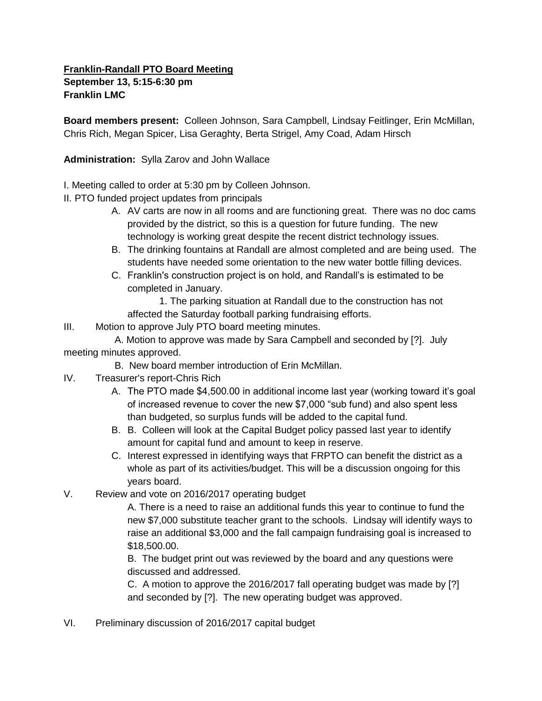## **Franklin-Randall PTO Board Meeting September 13, 5:15-6:30 pm Franklin LMC**

**Board members present:** Colleen Johnson, Sara Campbell, Lindsay Feitlinger, Erin McMillan, Chris Rich, Megan Spicer, Lisa Geraghty, Berta Strigel, Amy Coad, Adam Hirsch

**Administration:** Sylla Zarov and John Wallace

- I. Meeting called to order at 5:30 pm by Colleen Johnson.
- II. PTO funded project updates from principals
	- A. AV carts are now in all rooms and are functioning great. There was no doc cams provided by the district, so this is a question for future funding. The new technology is working great despite the recent district technology issues.
	- B. The drinking fountains at Randall are almost completed and are being used. The students have needed some orientation to the new water bottle filling devices.
	- C. Franklin's construction project is on hold, and Randall's is estimated to be completed in January.

1. The parking situation at Randall due to the construction has not affected the Saturday football parking fundraising efforts.

III. Motion to approve July PTO board meeting minutes.

 A. Motion to approve was made by Sara Campbell and seconded by [?]. July meeting minutes approved.

- B. New board member introduction of Erin McMillan.
- IV. Treasurer's report-Chris Rich
	- A. The PTO made \$4,500.00 in additional income last year (working toward it's goal of increased revenue to cover the new \$7,000 "sub fund) and also spent less than budgeted, so surplus funds will be added to the capital fund.
	- B. B. Colleen will look at the Capital Budget policy passed last year to identify amount for capital fund and amount to keep in reserve.
	- C. Interest expressed in identifying ways that FRPTO can benefit the district as a whole as part of its activities/budget. This will be a discussion ongoing for this years board.
- V. Review and vote on 2016/2017 operating budget

A. There is a need to raise an additional funds this year to continue to fund the new \$7,000 substitute teacher grant to the schools. Lindsay will identify ways to raise an additional \$3,000 and the fall campaign fundraising goal is increased to \$18,500.00.

B. The budget print out was reviewed by the board and any questions were discussed and addressed.

C. A motion to approve the 2016/2017 fall operating budget was made by [?] and seconded by [?]. The new operating budget was approved.

VI. Preliminary discussion of 2016/2017 capital budget